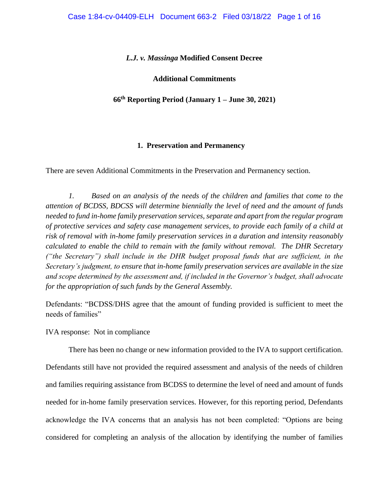## *L.J. v. Massinga* **Modified Consent Decree**

# **Additional Commitments**

# **66th Reporting Period (January 1 – June 30, 2021)**

### **1. Preservation and Permanency**

There are seven Additional Commitments in the Preservation and Permanency section.

*1. Based on an analysis of the needs of the children and families that come to the attention of BCDSS, BDCSS will determine biennially the level of need and the amount of funds needed to fund in-home family preservation services, separate and apart from the regular program of protective services and safety case management services, to provide each family of a child at risk of removal with in-home family preservation services in a duration and intensity reasonably calculated to enable the child to remain with the family without removal. The DHR Secretary ("the Secretary") shall include in the DHR budget proposal funds that are sufficient, in the Secretary's judgment, to ensure that in-home family preservation services are available in the size and scope determined by the assessment and, if included in the Governor's budget, shall advocate for the appropriation of such funds by the General Assembly.* 

Defendants: "BCDSS/DHS agree that the amount of funding provided is sufficient to meet the needs of families"

IVA response: Not in compliance

There has been no change or new information provided to the IVA to support certification.

Defendants still have not provided the required assessment and analysis of the needs of children and families requiring assistance from BCDSS to determine the level of need and amount of funds needed for in-home family preservation services. However, for this reporting period, Defendants acknowledge the IVA concerns that an analysis has not been completed: "Options are being considered for completing an analysis of the allocation by identifying the number of families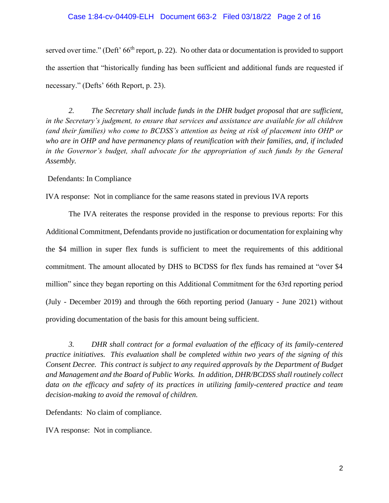# Case 1:84-cv-04409-ELH Document 663-2 Filed 03/18/22 Page 2 of 16

served over time." (Deft' 66<sup>th</sup> report, p. 22). No other data or documentation is provided to support the assertion that "historically funding has been sufficient and additional funds are requested if necessary." (Defts' 66th Report, p. 23).

 *2. The Secretary shall include funds in the DHR budget proposal that are sufficient, in the Secretary's judgment, to ensure that services and assistance are available for all children (and their families) who come to BCDSS's attention as being at risk of placement into OHP or who are in OHP and have permanency plans of reunification with their families, and, if included in the Governor's budget, shall advocate for the appropriation of such funds by the General Assembly.*

Defendants: In Compliance

IVA response: Not in compliance for the same reasons stated in previous IVA reports

 The IVA reiterates the response provided in the response to previous reports: For this Additional Commitment, Defendants provide no justification or documentation for explaining why the \$4 million in super flex funds is sufficient to meet the requirements of this additional commitment. The amount allocated by DHS to BCDSS for flex funds has remained at "over \$4 million" since they began reporting on this Additional Commitment for the 63rd reporting period (July - December 2019) and through the 66th reporting period (January - June 2021) without providing documentation of the basis for this amount being sufficient.

 *3. DHR shall contract for a formal evaluation of the efficacy of its family-centered practice initiatives. This evaluation shall be completed within two years of the signing of this Consent Decree. This contract is subject to any required approvals by the Department of Budget and Management and the Board of Public Works. In addition, DHR/BCDSS shall routinely collect data on the efficacy and safety of its practices in utilizing family-centered practice and team decision-making to avoid the removal of children.*

Defendants: No claim of compliance.

IVA response: Not in compliance.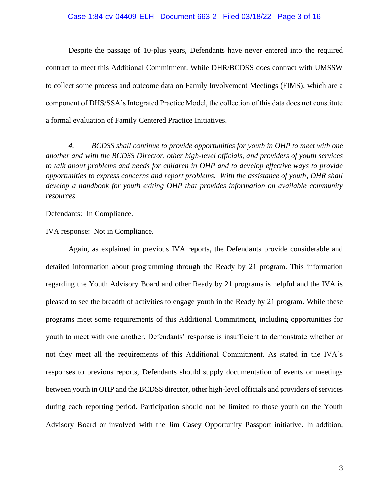### Case 1:84-cv-04409-ELH Document 663-2 Filed 03/18/22 Page 3 of 16

 Despite the passage of 10-plus years, Defendants have never entered into the required contract to meet this Additional Commitment. While DHR/BCDSS does contract with UMSSW to collect some process and outcome data on Family Involvement Meetings (FIMS), which are a component of DHS/SSA's Integrated Practice Model, the collection of this data does not constitute a formal evaluation of Family Centered Practice Initiatives.

 *4. BCDSS shall continue to provide opportunities for youth in OHP to meet with one another and with the BCDSS Director, other high-level officials, and providers of youth services to talk about problems and needs for children in OHP and to develop effective ways to provide opportunities to express concerns and report problems. With the assistance of youth, DHR shall develop a handbook for youth exiting OHP that provides information on available community resources.*

Defendants: In Compliance.

IVA response: Not in Compliance.

 Again, as explained in previous IVA reports, the Defendants provide considerable and detailed information about programming through the Ready by 21 program. This information regarding the Youth Advisory Board and other Ready by 21 programs is helpful and the IVA is pleased to see the breadth of activities to engage youth in the Ready by 21 program. While these programs meet some requirements of this Additional Commitment, including opportunities for youth to meet with one another, Defendants' response is insufficient to demonstrate whether or not they meet all the requirements of this Additional Commitment. As stated in the IVA's responses to previous reports, Defendants should supply documentation of events or meetings between youth in OHP and the BCDSS director, other high-level officials and providers of services during each reporting period. Participation should not be limited to those youth on the Youth Advisory Board or involved with the Jim Casey Opportunity Passport initiative. In addition,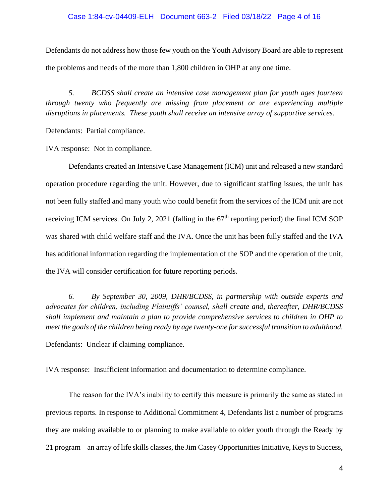# Case 1:84-cv-04409-ELH Document 663-2 Filed 03/18/22 Page 4 of 16

Defendants do not address how those few youth on the Youth Advisory Board are able to represent the problems and needs of the more than 1,800 children in OHP at any one time.

 *5. BCDSS shall create an intensive case management plan for youth ages fourteen through twenty who frequently are missing from placement or are experiencing multiple disruptions in placements. These youth shall receive an intensive array of supportive services.*

Defendants: Partial compliance.

IVA response: Not in compliance.

Defendants created an Intensive Case Management (ICM) unit and released a new standard operation procedure regarding the unit. However, due to significant staffing issues, the unit has not been fully staffed and many youth who could benefit from the services of the ICM unit are not receiving ICM services. On July 2, 2021 (falling in the  $67<sup>th</sup>$  reporting period) the final ICM SOP was shared with child welfare staff and the IVA. Once the unit has been fully staffed and the IVA has additional information regarding the implementation of the SOP and the operation of the unit, the IVA will consider certification for future reporting periods.

 *6. By September 30, 2009, DHR/BCDSS, in partnership with outside experts and advocates for children, including Plaintiffs' counsel, shall create and, thereafter, DHR/BCDSS shall implement and maintain a plan to provide comprehensive services to children in OHP to meet the goals of the children being ready by age twenty-one for successful transition to adulthood.* 

Defendants: Unclear if claiming compliance.

IVA response: Insufficient information and documentation to determine compliance.

 The reason for the IVA's inability to certify this measure is primarily the same as stated in previous reports. In response to Additional Commitment 4, Defendants list a number of programs they are making available to or planning to make available to older youth through the Ready by 21 program – an array of life skills classes, the Jim Casey Opportunities Initiative, Keys to Success,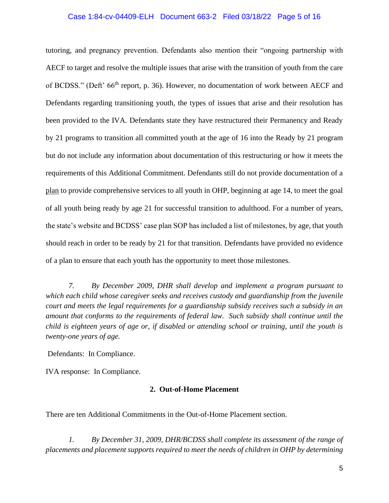## Case 1:84-cv-04409-ELH Document 663-2 Filed 03/18/22 Page 5 of 16

tutoring, and pregnancy prevention. Defendants also mention their "ongoing partnership with AECF to target and resolve the multiple issues that arise with the transition of youth from the care of BCDSS." (Deft' 66<sup>th</sup> report, p. 36). However, no documentation of work between AECF and Defendants regarding transitioning youth, the types of issues that arise and their resolution has been provided to the IVA. Defendants state they have restructured their Permanency and Ready by 21 programs to transition all committed youth at the age of 16 into the Ready by 21 program but do not include any information about documentation of this restructuring or how it meets the requirements of this Additional Commitment. Defendants still do not provide documentation of a plan to provide comprehensive services to all youth in OHP, beginning at age 14, to meet the goal of all youth being ready by age 21 for successful transition to adulthood. For a number of years, the state's website and BCDSS' case plan SOP has included a list of milestones, by age, that youth should reach in order to be ready by 21 for that transition. Defendants have provided no evidence of a plan to ensure that each youth has the opportunity to meet those milestones.

 *7. By December 2009, DHR shall develop and implement a program pursuant to which each child whose caregiver seeks and receives custody and guardianship from the juvenile court and meets the legal requirements for a guardianship subsidy receives such a subsidy in an amount that conforms to the requirements of federal law. Such subsidy shall continue until the child is eighteen years of age or, if disabled or attending school or training, until the youth is twenty-one years of age.* 

Defendants: In Compliance.

IVA response: In Compliance.

#### **2. Out-of-Home Placement**

There are ten Additional Commitments in the Out-of-Home Placement section.

*1. By December 31, 2009, DHR/BCDSS shall complete its assessment of the range of placements and placement supports required to meet the needs of children in OHP by determining*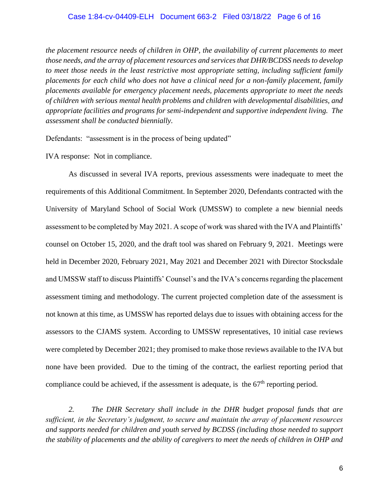*the placement resource needs of children in OHP, the availability of current placements to meet those needs, and the array of placement resources and services that DHR/BCDSS needs to develop to meet those needs in the least restrictive most appropriate setting, including sufficient family placements for each child who does not have a clinical need for a non-family placement, family placements available for emergency placement needs, placements appropriate to meet the needs of children with serious mental health problems and children with developmental disabilities, and appropriate facilities and programs for semi-independent and supportive independent living. The assessment shall be conducted biennially.* 

Defendants: "assessment is in the process of being updated"

IVA response: Not in compliance.

As discussed in several IVA reports, previous assessments were inadequate to meet the requirements of this Additional Commitment. In September 2020, Defendants contracted with the University of Maryland School of Social Work (UMSSW) to complete a new biennial needs assessment to be completed by May 2021. A scope of work was shared with the IVA and Plaintiffs' counsel on October 15, 2020, and the draft tool was shared on February 9, 2021. Meetings were held in December 2020, February 2021, May 2021 and December 2021 with Director Stocksdale and UMSSW staff to discuss Plaintiffs' Counsel's and the IVA's concerns regarding the placement assessment timing and methodology. The current projected completion date of the assessment is not known at this time, as UMSSW has reported delays due to issues with obtaining access for the assessors to the CJAMS system. According to UMSSW representatives, 10 initial case reviews were completed by December 2021; they promised to make those reviews available to the IVA but none have been provided. Due to the timing of the contract, the earliest reporting period that compliance could be achieved, if the assessment is adequate, is the 67<sup>th</sup> reporting period.

*2. The DHR Secretary shall include in the DHR budget proposal funds that are sufficient, in the Secretary's judgment, to secure and maintain the array of placement resources and supports needed for children and youth served by BCDSS (including those needed to support the stability of placements and the ability of caregivers to meet the needs of children in OHP and*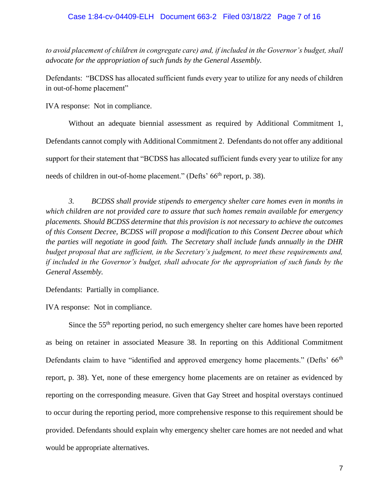*to avoid placement of children in congregate care) and, if included in the Governor's budget, shall advocate for the appropriation of such funds by the General Assembly.* 

Defendants: "BCDSS has allocated sufficient funds every year to utilize for any needs of children in out-of-home placement"

IVA response: Not in compliance.

Without an adequate biennial assessment as required by Additional Commitment 1, Defendants cannot comply with Additional Commitment 2. Defendants do not offer any additional support for their statement that "BCDSS has allocated sufficient funds every year to utilize for any needs of children in out-of-home placement." (Defts' 66<sup>th</sup> report, p. 38).

*3. BCDSS shall provide stipends to emergency shelter care homes even in months in which children are not provided care to assure that such homes remain available for emergency placements. Should BCDSS determine that this provision is not necessary to achieve the outcomes of this Consent Decree, BCDSS will propose a modification to this Consent Decree about which the parties will negotiate in good faith. The Secretary shall include funds annually in the DHR budget proposal that are sufficient, in the Secretary's judgment, to meet these requirements and, if included in the Governor's budget, shall advocate for the appropriation of such funds by the General Assembly.*

Defendants: Partially in compliance.

IVA response: Not in compliance.

Since the 55<sup>th</sup> reporting period, no such emergency shelter care homes have been reported as being on retainer in associated Measure 38. In reporting on this Additional Commitment Defendants claim to have "identified and approved emergency home placements." (Defts' 66<sup>th</sup> report, p. 38). Yet, none of these emergency home placements are on retainer as evidenced by reporting on the corresponding measure. Given that Gay Street and hospital overstays continued to occur during the reporting period, more comprehensive response to this requirement should be provided. Defendants should explain why emergency shelter care homes are not needed and what would be appropriate alternatives.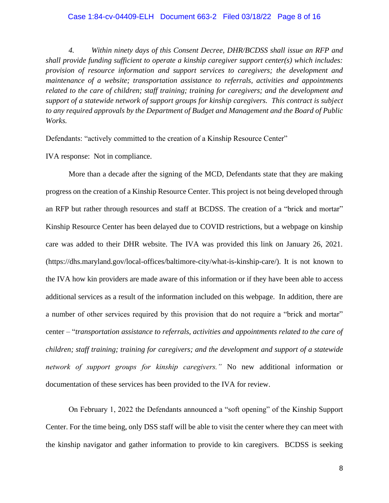*4. Within ninety days of this Consent Decree, DHR/BCDSS shall issue an RFP and shall provide funding sufficient to operate a kinship caregiver support center(s) which includes: provision of resource information and support services to caregivers; the development and maintenance of a website; transportation assistance to referrals, activities and appointments related to the care of children; staff training; training for caregivers; and the development and support of a statewide network of support groups for kinship caregivers. This contract is subject to any required approvals by the Department of Budget and Management and the Board of Public Works.* 

Defendants: "actively committed to the creation of a Kinship Resource Center"

IVA response: Not in compliance.

More than a decade after the signing of the MCD, Defendants state that they are making progress on the creation of a Kinship Resource Center. This project is not being developed through an RFP but rather through resources and staff at BCDSS. The creation of a "brick and mortar" Kinship Resource Center has been delayed due to COVID restrictions, but a webpage on kinship care was added to their DHR website. The IVA was provided this link on January 26, 2021. (https://dhs.maryland.gov/local-offices/baltimore-city/what-is-kinship-care/). It is not known to the IVA how kin providers are made aware of this information or if they have been able to access additional services as a result of the information included on this webpage. In addition, there are a number of other services required by this provision that do not require a "brick and mortar" center – "*transportation assistance to referrals, activities and appointments related to the care of children; staff training; training for caregivers; and the development and support of a statewide network of support groups for kinship caregivers."* No new additional information or documentation of these services has been provided to the IVA for review.

On February 1, 2022 the Defendants announced a "soft opening" of the Kinship Support Center. For the time being, only DSS staff will be able to visit the center where they can meet with the kinship navigator and gather information to provide to kin caregivers. BCDSS is seeking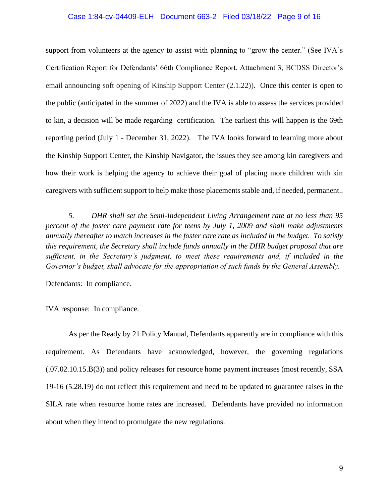#### Case 1:84-cv-04409-ELH Document 663-2 Filed 03/18/22 Page 9 of 16

support from volunteers at the agency to assist with planning to "grow the center." (See IVA's Certification Report for Defendants' 66th Compliance Report, Attachment 3, BCDSS Director's email announcing soft opening of Kinship Support Center (2.1.22)). Once this center is open to the public (anticipated in the summer of 2022) and the IVA is able to assess the services provided to kin, a decision will be made regarding certification. The earliest this will happen is the 69th reporting period (July 1 - December 31, 2022). The IVA looks forward to learning more about the Kinship Support Center, the Kinship Navigator, the issues they see among kin caregivers and how their work is helping the agency to achieve their goal of placing more children with kin caregivers with sufficient support to help make those placements stable and, if needed, permanent..

 *5. DHR shall set the Semi-Independent Living Arrangement rate at no less than 95 percent of the foster care payment rate for teens by July 1, 2009 and shall make adjustments annually thereafter to match increases in the foster care rate as included in the budget. To satisfy this requirement, the Secretary shall include funds annually in the DHR budget proposal that are sufficient, in the Secretary's judgment, to meet these requirements and, if included in the Governor's budget, shall advocate for the appropriation of such funds by the General Assembly.*

Defendants: In compliance.

IVA response: In compliance.

As per the Ready by 21 Policy Manual, Defendants apparently are in compliance with this requirement. As Defendants have acknowledged, however, the governing regulations (.07.02.10.15.B(3)) and policy releases for resource home payment increases (most recently, SSA 19-16 (5.28.19) do not reflect this requirement and need to be updated to guarantee raises in the SILA rate when resource home rates are increased. Defendants have provided no information about when they intend to promulgate the new regulations.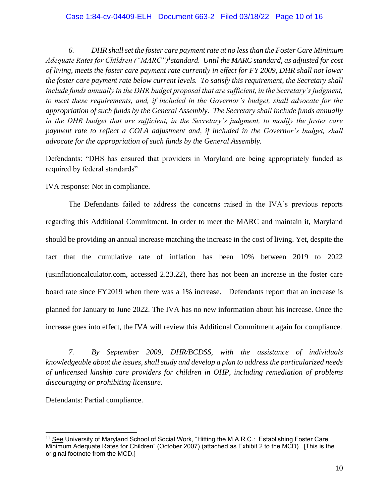# Case 1:84-cv-04409-ELH Document 663-2 Filed 03/18/22 Page 10 of 16

 *6. DHR shall set the foster care payment rate at no less than the Foster Care Minimum Adequate Rates for Children ("MARC")<sup>1</sup> standard. Until the MARC standard, as adjusted for cost of living, meets the foster care payment rate currently in effect for FY 2009, DHR shall not lower the foster care payment rate below current levels. To satisfy this requirement, the Secretary shall include funds annually in the DHR budget proposal that are sufficient, in the Secretary's judgment, to meet these requirements, and, if included in the Governor's budget, shall advocate for the appropriation of such funds by the General Assembly. The Secretary shall include funds annually in the DHR budget that are sufficient, in the Secretary's judgment, to modify the foster care payment rate to reflect a COLA adjustment and, if included in the Governor's budget, shall advocate for the appropriation of such funds by the General Assembly.*

Defendants: "DHS has ensured that providers in Maryland are being appropriately funded as required by federal standards"

IVA response: Not in compliance.

The Defendants failed to address the concerns raised in the IVA's previous reports regarding this Additional Commitment. In order to meet the MARC and maintain it, Maryland should be providing an annual increase matching the increase in the cost of living. Yet, despite the fact that the cumulative rate of inflation has been 10% between 2019 to 2022 (usinflationcalculator.com, accessed 2.23.22), there has not been an increase in the foster care board rate since FY2019 when there was a 1% increase. Defendants report that an increase is planned for January to June 2022. The IVA has no new information about his increase. Once the increase goes into effect, the IVA will review this Additional Commitment again for compliance.

*7. By September 2009, DHR/BCDSS, with the assistance of individuals knowledgeable about the issues, shall study and develop a plan to address the particularized needs of unlicensed kinship care providers for children in OHP, including remediation of problems discouraging or prohibiting licensure.*

Defendants: Partial compliance.

<sup>&</sup>lt;sup>11</sup> See University of Maryland School of Social Work, "Hitting the M.A.R.C.: Establishing Foster Care Minimum Adequate Rates for Children" (October 2007) (attached as Exhibit 2 to the MCD). [This is the original footnote from the MCD.]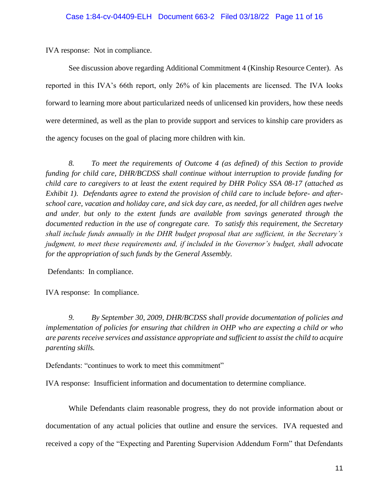IVA response: Not in compliance.

See discussion above regarding Additional Commitment 4 (Kinship Resource Center). As reported in this IVA's 66th report, only 26% of kin placements are licensed. The IVA looks forward to learning more about particularized needs of unlicensed kin providers, how these needs were determined, as well as the plan to provide support and services to kinship care providers as the agency focuses on the goal of placing more children with kin.

 *8. To meet the requirements of Outcome 4 (as defined) of this Section to provide funding for child care, DHR/BCDSS shall continue without interruption to provide funding for child care to caregivers to at least the extent required by DHR Policy SSA 08-17 (attached as Exhibit 1). Defendants agree to extend the provision of child care to include before- and afterschool care, vacation and holiday care, and sick day care, as needed, for all children ages twelve and under, but only to the extent funds are available from savings generated through the documented reduction in the use of congregate care. To satisfy this requirement, the Secretary shall include funds annually in the DHR budget proposal that are sufficient, in the Secretary's judgment, to meet these requirements and, if included in the Governor's budget, shall advocate for the appropriation of such funds by the General Assembly.*

Defendants: In compliance.

IVA response: In compliance.

 *9. By September 30, 2009, DHR/BCDSS shall provide documentation of policies and implementation of policies for ensuring that children in OHP who are expecting a child or who are parents receive services and assistance appropriate and sufficient to assist the child to acquire parenting skills.*

Defendants: "continues to work to meet this commitment"

IVA response: Insufficient information and documentation to determine compliance.

While Defendants claim reasonable progress, they do not provide information about or documentation of any actual policies that outline and ensure the services. IVA requested and received a copy of the "Expecting and Parenting Supervision Addendum Form" that Defendants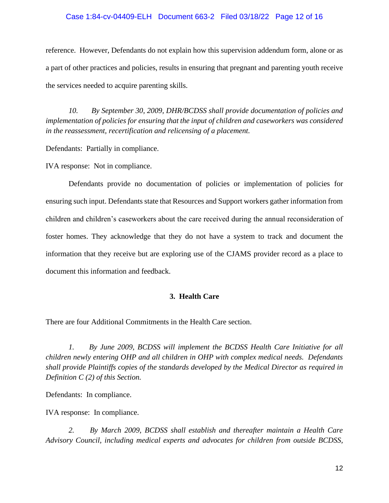# Case 1:84-cv-04409-ELH Document 663-2 Filed 03/18/22 Page 12 of 16

reference. However, Defendants do not explain how this supervision addendum form, alone or as a part of other practices and policies, results in ensuring that pregnant and parenting youth receive the services needed to acquire parenting skills.

 *10. By September 30, 2009, DHR/BCDSS shall provide documentation of policies and implementation of policies for ensuring that the input of children and caseworkers was considered in the reassessment, recertification and relicensing of a placement.*

Defendants: Partially in compliance.

IVA response: Not in compliance.

Defendants provide no documentation of policies or implementation of policies for ensuring such input. Defendants state that Resources and Support workers gather information from children and children's caseworkers about the care received during the annual reconsideration of foster homes. They acknowledge that they do not have a system to track and document the information that they receive but are exploring use of the CJAMS provider record as a place to document this information and feedback.

# **3. Health Care**

There are four Additional Commitments in the Health Care section.

*1. By June 2009, BCDSS will implement the BCDSS Health Care Initiative for all children newly entering OHP and all children in OHP with complex medical needs. Defendants shall provide Plaintiffs copies of the standards developed by the Medical Director as required in Definition C (2) of this Section.*

Defendants: In compliance.

IVA response: In compliance.

*2. By March 2009, BCDSS shall establish and thereafter maintain a Health Care Advisory Council, including medical experts and advocates for children from outside BCDSS,*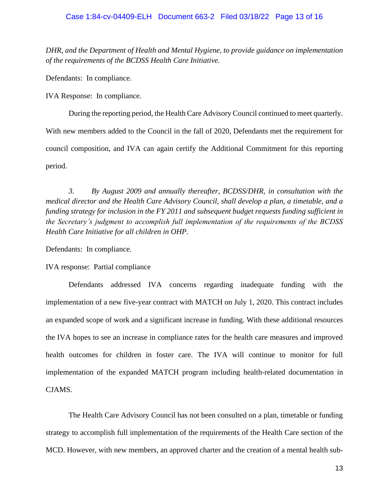*DHR, and the Department of Health and Mental Hygiene, to provide guidance on implementation of the requirements of the BCDSS Health Care Initiative.* 

Defendants: In compliance.

IVA Response: In compliance.

During the reporting period, the Health Care Advisory Council continued to meet quarterly. With new members added to the Council in the fall of 2020, Defendants met the requirement for council composition, and IVA can again certify the Additional Commitment for this reporting period.

 *3. By August 2009 and annually thereafter, BCDSS/DHR, in consultation with the medical director and the Health Care Advisory Council, shall develop a plan, a timetable, and a funding strategy for inclusion in the FY 2011 and subsequent budget requests funding sufficient in the Secretary's judgment to accomplish full implementation of the requirements of the BCDSS Health Care Initiative for all children in OHP.* 

Defendants: In compliance.

IVA response: Partial compliance

Defendants addressed IVA concerns regarding inadequate funding with the implementation of a new five-year contract with MATCH on July 1, 2020. This contract includes an expanded scope of work and a significant increase in funding. With these additional resources the IVA hopes to see an increase in compliance rates for the health care measures and improved health outcomes for children in foster care. The IVA will continue to monitor for full implementation of the expanded MATCH program including health-related documentation in CJAMS.

The Health Care Advisory Council has not been consulted on a plan, timetable or funding strategy to accomplish full implementation of the requirements of the Health Care section of the MCD. However, with new members, an approved charter and the creation of a mental health sub-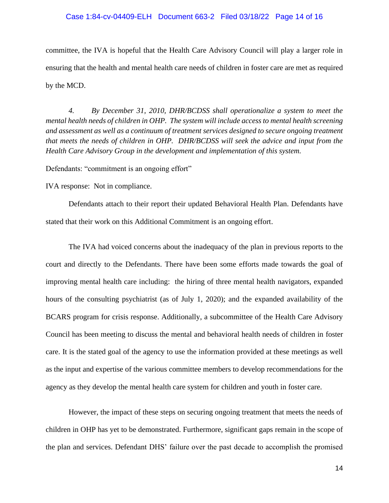### Case 1:84-cv-04409-ELH Document 663-2 Filed 03/18/22 Page 14 of 16

committee, the IVA is hopeful that the Health Care Advisory Council will play a larger role in ensuring that the health and mental health care needs of children in foster care are met as required by the MCD.

 *4. By December 31, 2010, DHR/BCDSS shall operationalize a system to meet the mental health needs of children in OHP. The system will include access to mental health screening and assessment as well as a continuum of treatment services designed to secure ongoing treatment that meets the needs of children in OHP. DHR/BCDSS will seek the advice and input from the Health Care Advisory Group in the development and implementation of this system.*

Defendants: "commitment is an ongoing effort"

IVA response: Not in compliance.

 Defendants attach to their report their updated Behavioral Health Plan. Defendants have stated that their work on this Additional Commitment is an ongoing effort.

The IVA had voiced concerns about the inadequacy of the plan in previous reports to the court and directly to the Defendants. There have been some efforts made towards the goal of improving mental health care including: the hiring of three mental health navigators, expanded hours of the consulting psychiatrist (as of July 1, 2020); and the expanded availability of the BCARS program for crisis response. Additionally, a subcommittee of the Health Care Advisory Council has been meeting to discuss the mental and behavioral health needs of children in foster care. It is the stated goal of the agency to use the information provided at these meetings as well as the input and expertise of the various committee members to develop recommendations for the agency as they develop the mental health care system for children and youth in foster care.

However, the impact of these steps on securing ongoing treatment that meets the needs of children in OHP has yet to be demonstrated. Furthermore, significant gaps remain in the scope of the plan and services. Defendant DHS' failure over the past decade to accomplish the promised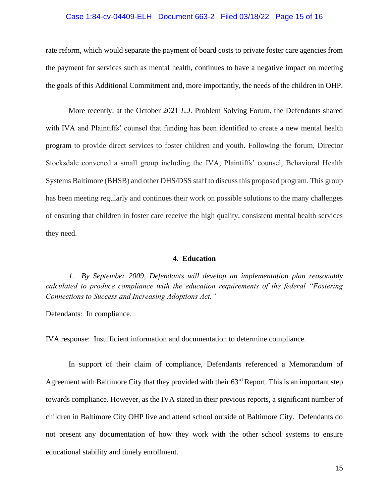## Case 1:84-cv-04409-ELH Document 663-2 Filed 03/18/22 Page 15 of 16

rate reform, which would separate the payment of board costs to private foster care agencies from the payment for services such as mental health, continues to have a negative impact on meeting the goals of this Additional Commitment and, more importantly, the needs of the children in OHP.

More recently, at the October 2021 *L.J.* Problem Solving Forum, the Defendants shared with IVA and Plaintiffs' counsel that funding has been identified to create a new mental health program to provide direct services to foster children and youth. Following the forum, Director Stocksdale convened a small group including the IVA, Plaintiffs' counsel, Behavioral Health Systems Baltimore (BHSB) and other DHS/DSS staff to discuss this proposed program. This group has been meeting regularly and continues their work on possible solutions to the many challenges of ensuring that children in foster care receive the high quality, consistent mental health services they need.

## **4. Education**

 *1. By September 2009, Defendants will develop an implementation plan reasonably calculated to produce compliance with the education requirements of the federal "Fostering Connections to Success and Increasing Adoptions Act."* 

Defendants: In compliance.

IVA response: Insufficient information and documentation to determine compliance.

 In support of their claim of compliance, Defendants referenced a Memorandum of Agreement with Baltimore City that they provided with their 63<sup>rd</sup> Report. This is an important step towards compliance. However, as the IVA stated in their previous reports, a significant number of children in Baltimore City OHP live and attend school outside of Baltimore City. Defendants do not present any documentation of how they work with the other school systems to ensure educational stability and timely enrollment.